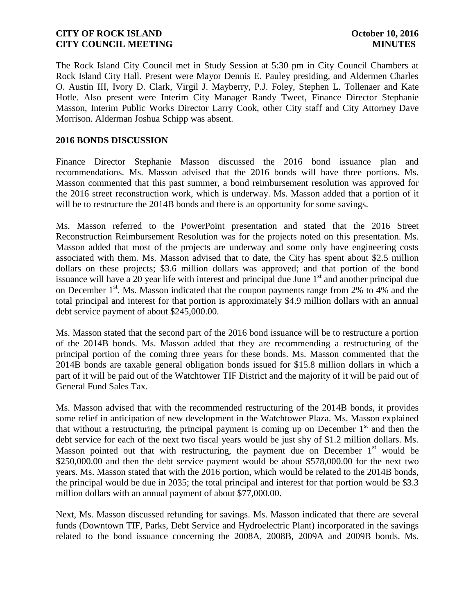The Rock Island City Council met in Study Session at 5:30 pm in City Council Chambers at Rock Island City Hall. Present were Mayor Dennis E. Pauley presiding, and Aldermen Charles O. Austin III, Ivory D. Clark, Virgil J. Mayberry, P.J. Foley, Stephen L. Tollenaer and Kate Hotle. Also present were Interim City Manager Randy Tweet, Finance Director Stephanie Masson, Interim Public Works Director Larry Cook, other City staff and City Attorney Dave Morrison. Alderman Joshua Schipp was absent.

#### **2016 BONDS DISCUSSION**

Finance Director Stephanie Masson discussed the 2016 bond issuance plan and recommendations. Ms. Masson advised that the 2016 bonds will have three portions. Ms. Masson commented that this past summer, a bond reimbursement resolution was approved for the 2016 street reconstruction work, which is underway. Ms. Masson added that a portion of it will be to restructure the 2014B bonds and there is an opportunity for some savings.

Ms. Masson referred to the PowerPoint presentation and stated that the 2016 Street Reconstruction Reimbursement Resolution was for the projects noted on this presentation. Ms. Masson added that most of the projects are underway and some only have engineering costs associated with them. Ms. Masson advised that to date, the City has spent about \$2.5 million dollars on these projects; \$3.6 million dollars was approved; and that portion of the bond issuance will have a 20 year life with interest and principal due June  $1<sup>st</sup>$  and another principal due on December 1<sup>st</sup>. Ms. Masson indicated that the coupon payments range from 2% to 4% and the total principal and interest for that portion is approximately \$4.9 million dollars with an annual debt service payment of about \$245,000.00.

Ms. Masson stated that the second part of the 2016 bond issuance will be to restructure a portion of the 2014B bonds. Ms. Masson added that they are recommending a restructuring of the principal portion of the coming three years for these bonds. Ms. Masson commented that the 2014B bonds are taxable general obligation bonds issued for \$15.8 million dollars in which a part of it will be paid out of the Watchtower TIF District and the majority of it will be paid out of General Fund Sales Tax.

Ms. Masson advised that with the recommended restructuring of the 2014B bonds, it provides some relief in anticipation of new development in the Watchtower Plaza. Ms. Masson explained that without a restructuring, the principal payment is coming up on December  $1<sup>st</sup>$  and then the debt service for each of the next two fiscal years would be just shy of \$1.2 million dollars. Ms. Masson pointed out that with restructuring, the payment due on December  $1<sup>st</sup>$  would be \$250,000.00 and then the debt service payment would be about \$578,000.00 for the next two years. Ms. Masson stated that with the 2016 portion, which would be related to the 2014B bonds, the principal would be due in 2035; the total principal and interest for that portion would be \$3.3 million dollars with an annual payment of about \$77,000.00.

Next, Ms. Masson discussed refunding for savings. Ms. Masson indicated that there are several funds (Downtown TIF, Parks, Debt Service and Hydroelectric Plant) incorporated in the savings related to the bond issuance concerning the 2008A, 2008B, 2009A and 2009B bonds. Ms.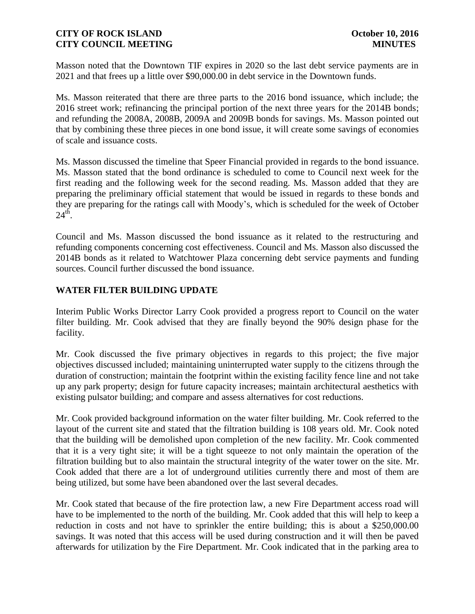Masson noted that the Downtown TIF expires in 2020 so the last debt service payments are in 2021 and that frees up a little over \$90,000.00 in debt service in the Downtown funds.

Ms. Masson reiterated that there are three parts to the 2016 bond issuance, which include; the 2016 street work; refinancing the principal portion of the next three years for the 2014B bonds; and refunding the 2008A, 2008B, 2009A and 2009B bonds for savings. Ms. Masson pointed out that by combining these three pieces in one bond issue, it will create some savings of economies of scale and issuance costs.

Ms. Masson discussed the timeline that Speer Financial provided in regards to the bond issuance. Ms. Masson stated that the bond ordinance is scheduled to come to Council next week for the first reading and the following week for the second reading. Ms. Masson added that they are preparing the preliminary official statement that would be issued in regards to these bonds and they are preparing for the ratings call with Moody's, which is scheduled for the week of October  $24<sup>th</sup>$ .

Council and Ms. Masson discussed the bond issuance as it related to the restructuring and refunding components concerning cost effectiveness. Council and Ms. Masson also discussed the 2014B bonds as it related to Watchtower Plaza concerning debt service payments and funding sources. Council further discussed the bond issuance.

## **WATER FILTER BUILDING UPDATE**

Interim Public Works Director Larry Cook provided a progress report to Council on the water filter building. Mr. Cook advised that they are finally beyond the 90% design phase for the facility.

Mr. Cook discussed the five primary objectives in regards to this project; the five major objectives discussed included; maintaining uninterrupted water supply to the citizens through the duration of construction; maintain the footprint within the existing facility fence line and not take up any park property; design for future capacity increases; maintain architectural aesthetics with existing pulsator building; and compare and assess alternatives for cost reductions.

Mr. Cook provided background information on the water filter building. Mr. Cook referred to the layout of the current site and stated that the filtration building is 108 years old. Mr. Cook noted that the building will be demolished upon completion of the new facility. Mr. Cook commented that it is a very tight site; it will be a tight squeeze to not only maintain the operation of the filtration building but to also maintain the structural integrity of the water tower on the site. Mr. Cook added that there are a lot of underground utilities currently there and most of them are being utilized, but some have been abandoned over the last several decades.

Mr. Cook stated that because of the fire protection law, a new Fire Department access road will have to be implemented to the north of the building. Mr. Cook added that this will help to keep a reduction in costs and not have to sprinkler the entire building; this is about a \$250,000.00 savings. It was noted that this access will be used during construction and it will then be paved afterwards for utilization by the Fire Department. Mr. Cook indicated that in the parking area to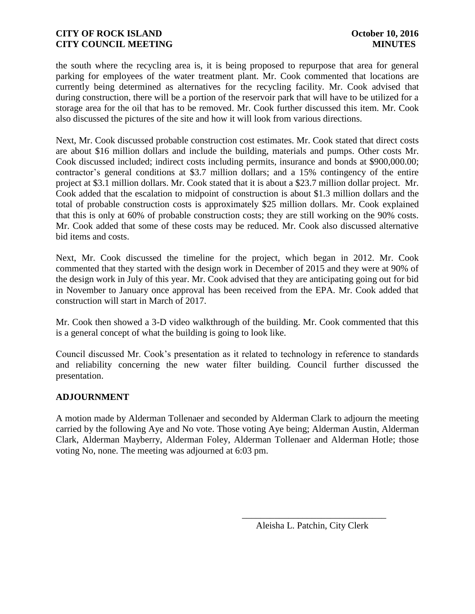the south where the recycling area is, it is being proposed to repurpose that area for general parking for employees of the water treatment plant. Mr. Cook commented that locations are currently being determined as alternatives for the recycling facility. Mr. Cook advised that during construction, there will be a portion of the reservoir park that will have to be utilized for a storage area for the oil that has to be removed. Mr. Cook further discussed this item. Mr. Cook also discussed the pictures of the site and how it will look from various directions.

Next, Mr. Cook discussed probable construction cost estimates. Mr. Cook stated that direct costs are about \$16 million dollars and include the building, materials and pumps. Other costs Mr. Cook discussed included; indirect costs including permits, insurance and bonds at \$900,000.00; contractor's general conditions at \$3.7 million dollars; and a 15% contingency of the entire project at \$3.1 million dollars. Mr. Cook stated that it is about a \$23.7 million dollar project. Mr. Cook added that the escalation to midpoint of construction is about \$1.3 million dollars and the total of probable construction costs is approximately \$25 million dollars. Mr. Cook explained that this is only at 60% of probable construction costs; they are still working on the 90% costs. Mr. Cook added that some of these costs may be reduced. Mr. Cook also discussed alternative bid items and costs.

Next, Mr. Cook discussed the timeline for the project, which began in 2012. Mr. Cook commented that they started with the design work in December of 2015 and they were at 90% of the design work in July of this year. Mr. Cook advised that they are anticipating going out for bid in November to January once approval has been received from the EPA. Mr. Cook added that construction will start in March of 2017.

Mr. Cook then showed a 3-D video walkthrough of the building. Mr. Cook commented that this is a general concept of what the building is going to look like.

Council discussed Mr. Cook's presentation as it related to technology in reference to standards and reliability concerning the new water filter building. Council further discussed the presentation.

## **ADJOURNMENT**

A motion made by Alderman Tollenaer and seconded by Alderman Clark to adjourn the meeting carried by the following Aye and No vote. Those voting Aye being; Alderman Austin, Alderman Clark, Alderman Mayberry, Alderman Foley, Alderman Tollenaer and Alderman Hotle; those voting No, none. The meeting was adjourned at 6:03 pm.

 $\overline{\phantom{a}}$  , and the contract of the contract of the contract of the contract of the contract of the contract of the contract of the contract of the contract of the contract of the contract of the contract of the contrac

Aleisha L. Patchin, City Clerk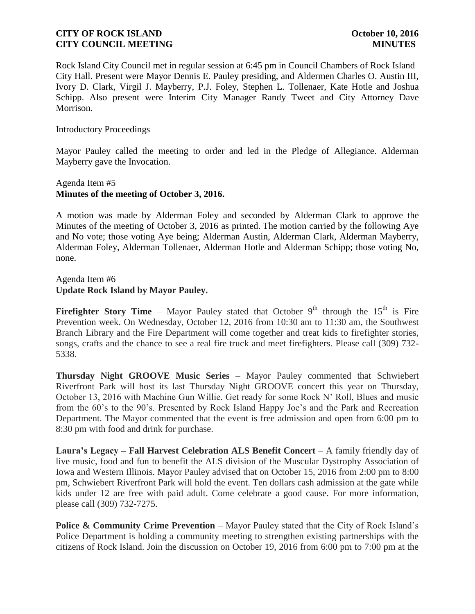Rock Island City Council met in regular session at 6:45 pm in Council Chambers of Rock Island City Hall. Present were Mayor Dennis E. Pauley presiding, and Aldermen Charles O. Austin III, Ivory D. Clark, Virgil J. Mayberry, P.J. Foley, Stephen L. Tollenaer, Kate Hotle and Joshua Schipp. Also present were Interim City Manager Randy Tweet and City Attorney Dave Morrison.

#### Introductory Proceedings

Mayor Pauley called the meeting to order and led in the Pledge of Allegiance. Alderman Mayberry gave the Invocation.

### Agenda Item #5 **Minutes of the meeting of October 3, 2016.**

A motion was made by Alderman Foley and seconded by Alderman Clark to approve the Minutes of the meeting of October 3, 2016 as printed. The motion carried by the following Aye and No vote; those voting Aye being; Alderman Austin, Alderman Clark, Alderman Mayberry, Alderman Foley, Alderman Tollenaer, Alderman Hotle and Alderman Schipp; those voting No, none.

Agenda Item #6 **Update Rock Island by Mayor Pauley.** 

**Firefighter Story Time** – Mayor Pauley stated that October  $9<sup>th</sup>$  through the 15<sup>th</sup> is Fire Prevention week. On Wednesday, October 12, 2016 from 10:30 am to 11:30 am, the Southwest Branch Library and the Fire Department will come together and treat kids to firefighter stories, songs, crafts and the chance to see a real fire truck and meet firefighters. Please call (309) 732- 5338.

**Thursday Night GROOVE Music Series** – Mayor Pauley commented that Schwiebert Riverfront Park will host its last Thursday Night GROOVE concert this year on Thursday, October 13, 2016 with Machine Gun Willie. Get ready for some Rock N' Roll, Blues and music from the 60's to the 90's. Presented by Rock Island Happy Joe's and the Park and Recreation Department. The Mayor commented that the event is free admission and open from 6:00 pm to 8:30 pm with food and drink for purchase.

**Laura's Legacy – Fall Harvest Celebration ALS Benefit Concert** – A family friendly day of live music, food and fun to benefit the ALS division of the Muscular Dystrophy Association of Iowa and Western Illinois. Mayor Pauley advised that on October 15, 2016 from 2:00 pm to 8:00 pm, Schwiebert Riverfront Park will hold the event. Ten dollars cash admission at the gate while kids under 12 are free with paid adult. Come celebrate a good cause. For more information, please call (309) 732-7275.

**Police & Community Crime Prevention** – Mayor Pauley stated that the City of Rock Island's Police Department is holding a community meeting to strengthen existing partnerships with the citizens of Rock Island. Join the discussion on October 19, 2016 from 6:00 pm to 7:00 pm at the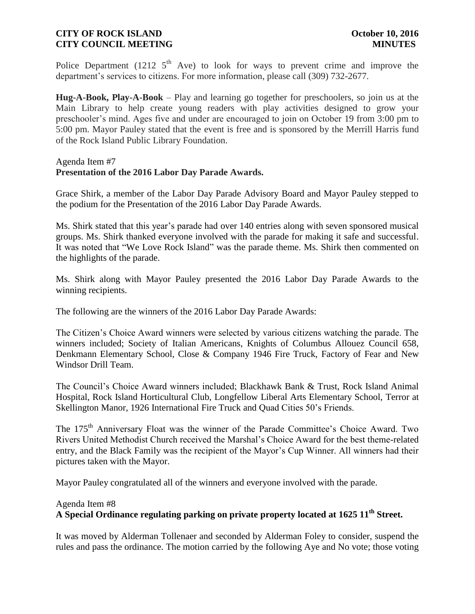Police Department (1212  $5<sup>th</sup>$  Ave) to look for ways to prevent crime and improve the department's services to citizens. For more information, please call (309) 732-2677.

**Hug-A-Book, Play-A-Book** – Play and learning go together for preschoolers, so join us at the Main Library to help create young readers with play activities designed to grow your preschooler's mind. Ages five and under are encouraged to join on October 19 from 3:00 pm to 5:00 pm. Mayor Pauley stated that the event is free and is sponsored by the Merrill Harris fund of the Rock Island Public Library Foundation.

#### Agenda Item #7 **Presentation of the 2016 Labor Day Parade Awards.**

Grace Shirk, a member of the Labor Day Parade Advisory Board and Mayor Pauley stepped to the podium for the Presentation of the 2016 Labor Day Parade Awards.

Ms. Shirk stated that this year's parade had over 140 entries along with seven sponsored musical groups. Ms. Shirk thanked everyone involved with the parade for making it safe and successful. It was noted that "We Love Rock Island" was the parade theme. Ms. Shirk then commented on the highlights of the parade.

Ms. Shirk along with Mayor Pauley presented the 2016 Labor Day Parade Awards to the winning recipients.

The following are the winners of the 2016 Labor Day Parade Awards:

The Citizen's Choice Award winners were selected by various citizens watching the parade. The winners included; Society of Italian Americans, Knights of Columbus Allouez Council 658, Denkmann Elementary School, Close & Company 1946 Fire Truck, Factory of Fear and New Windsor Drill Team.

The Council's Choice Award winners included; Blackhawk Bank & Trust, Rock Island Animal Hospital, Rock Island Horticultural Club, Longfellow Liberal Arts Elementary School, Terror at Skellington Manor, 1926 International Fire Truck and Quad Cities 50's Friends.

The 175<sup>th</sup> Anniversary Float was the winner of the Parade Committee's Choice Award. Two Rivers United Methodist Church received the Marshal's Choice Award for the best theme-related entry, and the Black Family was the recipient of the Mayor's Cup Winner. All winners had their pictures taken with the Mayor.

Mayor Pauley congratulated all of the winners and everyone involved with the parade.

#### Agenda Item #8

# **A Special Ordinance regulating parking on private property located at 1625 11th Street.**

It was moved by Alderman Tollenaer and seconded by Alderman Foley to consider, suspend the rules and pass the ordinance. The motion carried by the following Aye and No vote; those voting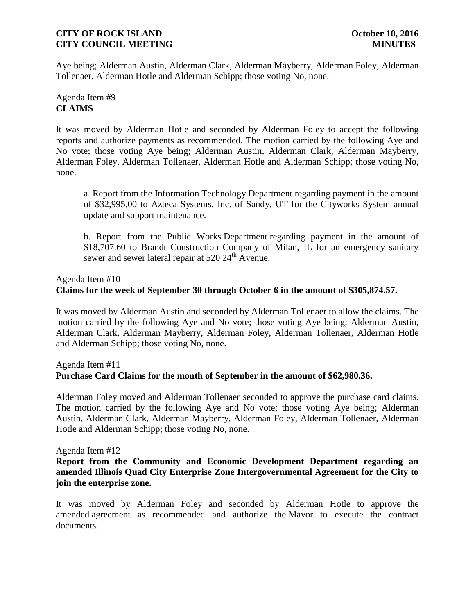### **CITY OF ROCK ISLAND CITY OF ROCK ISLAND CITY COUNCIL MEETING MINUTES**

Aye being; Alderman Austin, Alderman Clark, Alderman Mayberry, Alderman Foley, Alderman Tollenaer, Alderman Hotle and Alderman Schipp; those voting No, none.

## Agenda Item #9 **CLAIMS**

It was moved by Alderman Hotle and seconded by Alderman Foley to accept the following reports and authorize payments as recommended. The motion carried by the following Aye and No vote; those voting Aye being; Alderman Austin, Alderman Clark, Alderman Mayberry, Alderman Foley, Alderman Tollenaer, Alderman Hotle and Alderman Schipp; those voting No, none.

a. Report from the Information Technology Department regarding payment in the amount of \$32,995.00 to Azteca Systems, Inc. of Sandy, UT for the Cityworks System annual update and support maintenance.

b. Report from the Public Works Department regarding payment in the amount of \$18,707.60 to Brandt Construction Company of Milan, IL for an emergency sanitary sewer and sewer lateral repair at  $520\,24^{\text{th}}$  Avenue.

Agenda Item #10

## **Claims for the week of September 30 through October 6 in the amount of \$305,874.57.**

It was moved by Alderman Austin and seconded by Alderman Tollenaer to allow the claims. The motion carried by the following Aye and No vote; those voting Aye being; Alderman Austin, Alderman Clark, Alderman Mayberry, Alderman Foley, Alderman Tollenaer, Alderman Hotle and Alderman Schipp; those voting No, none.

## Agenda Item #11

## **Purchase Card Claims for the month of September in the amount of \$62,980.36.**

Alderman Foley moved and Alderman Tollenaer seconded to approve the purchase card claims. The motion carried by the following Aye and No vote; those voting Aye being; Alderman Austin, Alderman Clark, Alderman Mayberry, Alderman Foley, Alderman Tollenaer, Alderman Hotle and Alderman Schipp; those voting No, none.

#### Agenda Item #12

**Report from the Community and Economic Development Department regarding an amended Illinois Quad City Enterprise Zone Intergovernmental Agreement for the City to join the enterprise zone.**

It was moved by Alderman Foley and seconded by Alderman Hotle to approve the amended agreement as recommended and authorize the Mayor to execute the contract documents.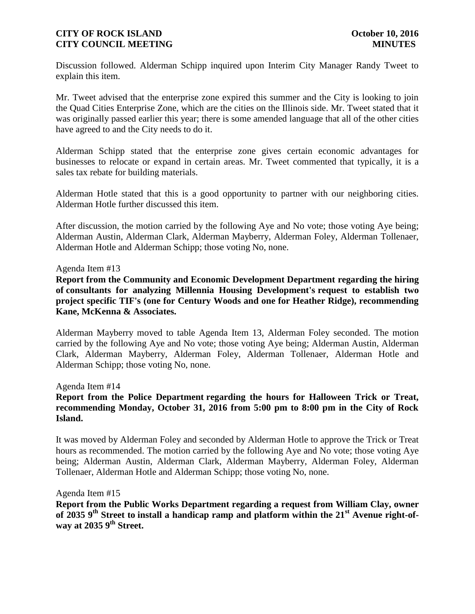### **CITY OF ROCK ISLAND CITY OF ROCK ISLAND CITY COUNCIL MEETING MINUTES**

Discussion followed. Alderman Schipp inquired upon Interim City Manager Randy Tweet to explain this item.

Mr. Tweet advised that the enterprise zone expired this summer and the City is looking to join the Quad Cities Enterprise Zone, which are the cities on the Illinois side. Mr. Tweet stated that it was originally passed earlier this year; there is some amended language that all of the other cities have agreed to and the City needs to do it.

Alderman Schipp stated that the enterprise zone gives certain economic advantages for businesses to relocate or expand in certain areas. Mr. Tweet commented that typically, it is a sales tax rebate for building materials.

Alderman Hotle stated that this is a good opportunity to partner with our neighboring cities. Alderman Hotle further discussed this item.

After discussion, the motion carried by the following Aye and No vote; those voting Aye being; Alderman Austin, Alderman Clark, Alderman Mayberry, Alderman Foley, Alderman Tollenaer, Alderman Hotle and Alderman Schipp; those voting No, none.

#### Agenda Item #13

**Report from the Community and Economic Development Department regarding the hiring of consultants for analyzing Millennia Housing Development's request to establish two project specific TIF's (one for Century Woods and one for Heather Ridge), recommending Kane, McKenna & Associates.**

Alderman Mayberry moved to table Agenda Item 13, Alderman Foley seconded. The motion carried by the following Aye and No vote; those voting Aye being; Alderman Austin, Alderman Clark, Alderman Mayberry, Alderman Foley, Alderman Tollenaer, Alderman Hotle and Alderman Schipp; those voting No, none.

#### Agenda Item #14

### **Report from the Police Department regarding the hours for Halloween Trick or Treat, recommending Monday, October 31, 2016 from 5:00 pm to 8:00 pm in the City of Rock Island.**

It was moved by Alderman Foley and seconded by Alderman Hotle to approve the Trick or Treat hours as recommended. The motion carried by the following Aye and No vote; those voting Aye being; Alderman Austin, Alderman Clark, Alderman Mayberry, Alderman Foley, Alderman Tollenaer, Alderman Hotle and Alderman Schipp; those voting No, none.

#### Agenda Item #15

**Report from the Public Works Department regarding a request from William Clay, owner of 2035 9th Street to install a handicap ramp and platform within the 21st Avenue right-ofway at 2035 9th Street.**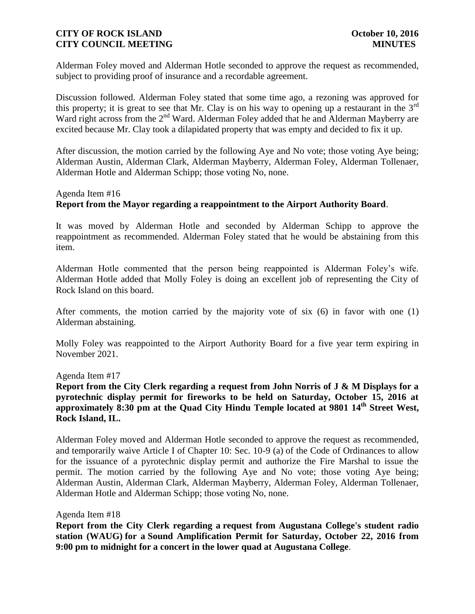### **CITY OF ROCK ISLAND CITY OF ROCK ISLAND CITY COUNCIL MEETING MINUTES**

Alderman Foley moved and Alderman Hotle seconded to approve the request as recommended, subject to providing proof of insurance and a recordable agreement.

Discussion followed. Alderman Foley stated that some time ago, a rezoning was approved for this property; it is great to see that Mr. Clay is on his way to opening up a restaurant in the  $3<sup>rd</sup>$ Ward right across from the 2<sup>nd</sup> Ward. Alderman Foley added that he and Alderman Mayberry are excited because Mr. Clay took a dilapidated property that was empty and decided to fix it up.

After discussion, the motion carried by the following Aye and No vote; those voting Aye being; Alderman Austin, Alderman Clark, Alderman Mayberry, Alderman Foley, Alderman Tollenaer, Alderman Hotle and Alderman Schipp; those voting No, none.

### Agenda Item #16 **Report from the Mayor regarding a reappointment to the Airport Authority Board**.

It was moved by Alderman Hotle and seconded by Alderman Schipp to approve the reappointment as recommended. Alderman Foley stated that he would be abstaining from this item.

Alderman Hotle commented that the person being reappointed is Alderman Foley's wife. Alderman Hotle added that Molly Foley is doing an excellent job of representing the City of Rock Island on this board.

After comments, the motion carried by the majority vote of six (6) in favor with one (1) Alderman abstaining.

Molly Foley was reappointed to the Airport Authority Board for a five year term expiring in November 2021.

Agenda Item #17

**Report from the City Clerk regarding a request from John Norris of J & M Displays for a pyrotechnic display permit for fireworks to be held on Saturday, October 15, 2016 at approximately 8:30 pm at the Quad City Hindu Temple located at 9801 14th Street West, Rock Island, IL.**

Alderman Foley moved and Alderman Hotle seconded to approve the request as recommended, and temporarily waive Article I of Chapter 10: Sec. 10-9 (a) of the Code of Ordinances to allow for the issuance of a pyrotechnic display permit and authorize the Fire Marshal to issue the permit. The motion carried by the following Aye and No vote; those voting Aye being; Alderman Austin, Alderman Clark, Alderman Mayberry, Alderman Foley, Alderman Tollenaer, Alderman Hotle and Alderman Schipp; those voting No, none.

#### Agenda Item #18

**Report from the City Clerk regarding a request from Augustana College's student radio station (WAUG) for a Sound Amplification Permit for Saturday, October 22, 2016 from 9:00 pm to midnight for a concert in the lower quad at Augustana College**.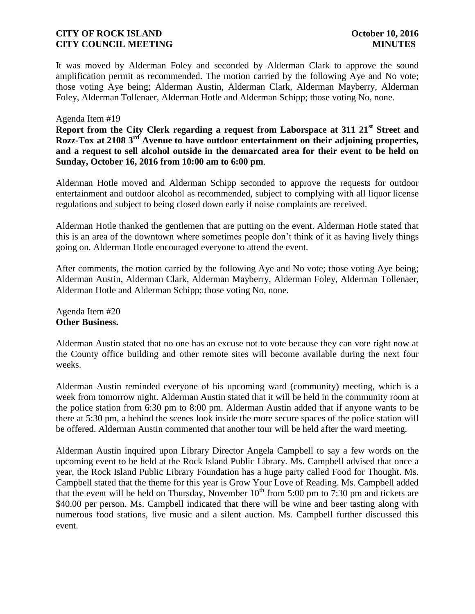It was moved by Alderman Foley and seconded by Alderman Clark to approve the sound amplification permit as recommended. The motion carried by the following Aye and No vote; those voting Aye being; Alderman Austin, Alderman Clark, Alderman Mayberry, Alderman Foley, Alderman Tollenaer, Alderman Hotle and Alderman Schipp; those voting No, none.

#### Agenda Item #19

**Report from the City Clerk regarding a request from Laborspace at 311 21st Street and Rozz-Tox at 2108 3rd Avenue to have outdoor entertainment on their adjoining properties, and a request to sell alcohol outside in the demarcated area for their event to be held on Sunday, October 16, 2016 from 10:00 am to 6:00 pm**.

Alderman Hotle moved and Alderman Schipp seconded to approve the requests for outdoor entertainment and outdoor alcohol as recommended, subject to complying with all liquor license regulations and subject to being closed down early if noise complaints are received.

Alderman Hotle thanked the gentlemen that are putting on the event. Alderman Hotle stated that this is an area of the downtown where sometimes people don't think of it as having lively things going on. Alderman Hotle encouraged everyone to attend the event.

After comments, the motion carried by the following Aye and No vote; those voting Aye being; Alderman Austin, Alderman Clark, Alderman Mayberry, Alderman Foley, Alderman Tollenaer, Alderman Hotle and Alderman Schipp; those voting No, none.

Agenda Item #20 **Other Business.**

Alderman Austin stated that no one has an excuse not to vote because they can vote right now at the County office building and other remote sites will become available during the next four weeks.

Alderman Austin reminded everyone of his upcoming ward (community) meeting, which is a week from tomorrow night. Alderman Austin stated that it will be held in the community room at the police station from 6:30 pm to 8:00 pm. Alderman Austin added that if anyone wants to be there at 5:30 pm, a behind the scenes look inside the more secure spaces of the police station will be offered. Alderman Austin commented that another tour will be held after the ward meeting.

Alderman Austin inquired upon Library Director Angela Campbell to say a few words on the upcoming event to be held at the Rock Island Public Library. Ms. Campbell advised that once a year, the Rock Island Public Library Foundation has a huge party called Food for Thought. Ms. Campbell stated that the theme for this year is Grow Your Love of Reading. Ms. Campbell added that the event will be held on Thursday, November  $10^{th}$  from 5:00 pm to 7:30 pm and tickets are \$40.00 per person. Ms. Campbell indicated that there will be wine and beer tasting along with numerous food stations, live music and a silent auction. Ms. Campbell further discussed this event.